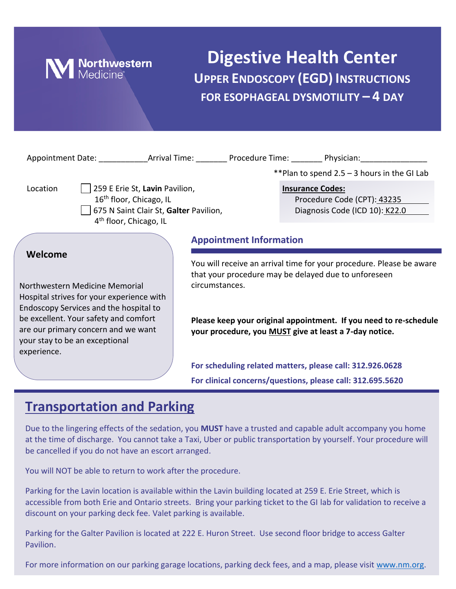

## **Digestive Health Center UPPER ENDOSCOPY (EGD) INSTRUCTIONS FOR ESOPHAGEAL DYSMOTILITY – 4 DAY**

|                                                                                                                                                                                                                                                                   |                                | **Plan to spend $2.5 - 3$ hours in the GI Lab                                                                                                                                                                                                               |  |
|-------------------------------------------------------------------------------------------------------------------------------------------------------------------------------------------------------------------------------------------------------------------|--------------------------------|-------------------------------------------------------------------------------------------------------------------------------------------------------------------------------------------------------------------------------------------------------------|--|
| 259 E Erie St, Lavin Pavilion,<br>Location<br>16 <sup>th</sup> floor, Chicago, IL<br>675 N Saint Clair St, Galter Pavilion,<br>4 <sup>th</sup> floor, Chicago, IL                                                                                                 |                                | <b>Insurance Codes:</b><br>Procedure Code (CPT): 43235<br>Diagnosis Code (ICD 10): K22.0                                                                                                                                                                    |  |
|                                                                                                                                                                                                                                                                   | <b>Appointment Information</b> |                                                                                                                                                                                                                                                             |  |
| Welcome<br>Northwestern Medicine Memorial<br>Hospital strives for your experience with<br>Endoscopy Services and the hospital to<br>be excellent. Your safety and comfort<br>are our primary concern and we want<br>your stay to be an exceptional<br>experience. | circumstances.                 | You will receive an arrival time for your procedure. Please be aware<br>that your procedure may be delayed due to unforeseen<br>Please keep your original appointment. If you need to re-schedule<br>your procedure, you MUST give at least a 7-day notice. |  |
|                                                                                                                                                                                                                                                                   |                                | For scheduling related matters, please call: 312.926.0628<br>For clinical concerns/questions, please call: 312.695.5620                                                                                                                                     |  |
|                                                                                                                                                                                                                                                                   |                                |                                                                                                                                                                                                                                                             |  |

### **Transportation and Parking**

Due to the lingering effects of the sedation, you **MUST** have a trusted and capable adult accompany you home at the time of discharge. You cannot take a Taxi, Uber or public transportation by yourself. Your procedure will be cancelled if you do not have an escort arranged.

You will NOT be able to return to work after the procedure.

Parking for the Lavin location is available within the Lavin building located at 259 E. Erie Street, which is accessible from both Erie and Ontario streets. Bring your parking ticket to the GI lab for validation to receive a discount on your parking deck fee. Valet parking is available.

Parking for the Galter Pavilion is located at 222 E. Huron Street. Use second floor bridge to access Galter Pavilion.

For more information on our parking garage locations, parking deck fees, and a map, please visit [www.nm.org.](http://www.nm.org/)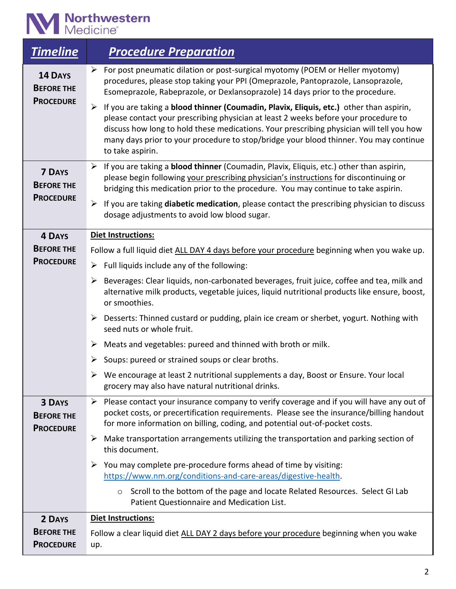# **M** Northwestern

| <b>Timeline</b>                                         | <b>Procedure Preparation</b>                                                                                                                                                                                                                                                                                                                                                                                     |
|---------------------------------------------------------|------------------------------------------------------------------------------------------------------------------------------------------------------------------------------------------------------------------------------------------------------------------------------------------------------------------------------------------------------------------------------------------------------------------|
| <b>14 DAYS</b><br><b>BEFORE THE</b><br><b>PROCEDURE</b> | For post pneumatic dilation or post-surgical myotomy (POEM or Heller myotomy)<br>➤<br>procedures, please stop taking your PPI (Omeprazole, Pantoprazole, Lansoprazole,<br>Esomeprazole, Rabeprazole, or Dexlansoprazole) 14 days prior to the procedure.                                                                                                                                                         |
|                                                         | If you are taking a blood thinner (Coumadin, Plavix, Eliquis, etc.) other than aspirin,<br>$\blacktriangleright$<br>please contact your prescribing physician at least 2 weeks before your procedure to<br>discuss how long to hold these medications. Your prescribing physician will tell you how<br>many days prior to your procedure to stop/bridge your blood thinner. You may continue<br>to take aspirin. |
| <b>7 DAYS</b><br><b>BEFORE THE</b>                      | $\triangleright$ If you are taking a <b>blood thinner</b> (Coumadin, Plavix, Eliquis, etc.) other than aspirin,<br>please begin following your prescribing physician's instructions for discontinuing or<br>bridging this medication prior to the procedure. You may continue to take aspirin.                                                                                                                   |
| <b>PROCEDURE</b>                                        | If you are taking diabetic medication, please contact the prescribing physician to discuss<br>➤<br>dosage adjustments to avoid low blood sugar.                                                                                                                                                                                                                                                                  |
| <b>4 DAYS</b>                                           | <b>Diet Instructions:</b>                                                                                                                                                                                                                                                                                                                                                                                        |
| <b>BEFORE THE</b>                                       | Follow a full liquid diet ALL DAY 4 days before your procedure beginning when you wake up.                                                                                                                                                                                                                                                                                                                       |
| <b>PROCEDURE</b>                                        | Full liquids include any of the following:<br>➤                                                                                                                                                                                                                                                                                                                                                                  |
|                                                         | Beverages: Clear liquids, non-carbonated beverages, fruit juice, coffee and tea, milk and<br>➤<br>alternative milk products, vegetable juices, liquid nutritional products like ensure, boost,<br>or smoothies.                                                                                                                                                                                                  |
|                                                         | Desserts: Thinned custard or pudding, plain ice cream or sherbet, yogurt. Nothing with<br>➤<br>seed nuts or whole fruit.                                                                                                                                                                                                                                                                                         |
|                                                         | Meats and vegetables: pureed and thinned with broth or milk.<br>➤                                                                                                                                                                                                                                                                                                                                                |
|                                                         | Soups: pureed or strained soups or clear broths.<br>➤                                                                                                                                                                                                                                                                                                                                                            |
|                                                         | We encourage at least 2 nutritional supplements a day, Boost or Ensure. Your local<br>grocery may also have natural nutritional drinks.                                                                                                                                                                                                                                                                          |
| <b>3 DAYS</b><br><b>BEFORE THE</b><br><b>PROCEDURE</b>  | $\triangleright$ Please contact your insurance company to verify coverage and if you will have any out of<br>pocket costs, or precertification requirements. Please see the insurance/billing handout<br>for more information on billing, coding, and potential out-of-pocket costs.                                                                                                                             |
|                                                         | Make transportation arrangements utilizing the transportation and parking section of<br>➤<br>this document.                                                                                                                                                                                                                                                                                                      |
|                                                         | You may complete pre-procedure forms ahead of time by visiting:<br>➤<br>https://www.nm.org/conditions-and-care-areas/digestive-health.                                                                                                                                                                                                                                                                           |
|                                                         | ○ Scroll to the bottom of the page and locate Related Resources. Select GI Lab<br>Patient Questionnaire and Medication List.                                                                                                                                                                                                                                                                                     |
| 2 DAYS                                                  | <b>Diet Instructions:</b>                                                                                                                                                                                                                                                                                                                                                                                        |
| <b>BEFORE THE</b>                                       | Follow a clear liquid diet ALL DAY 2 days before your procedure beginning when you wake                                                                                                                                                                                                                                                                                                                          |
| <b>PROCEDURE</b>                                        | up.                                                                                                                                                                                                                                                                                                                                                                                                              |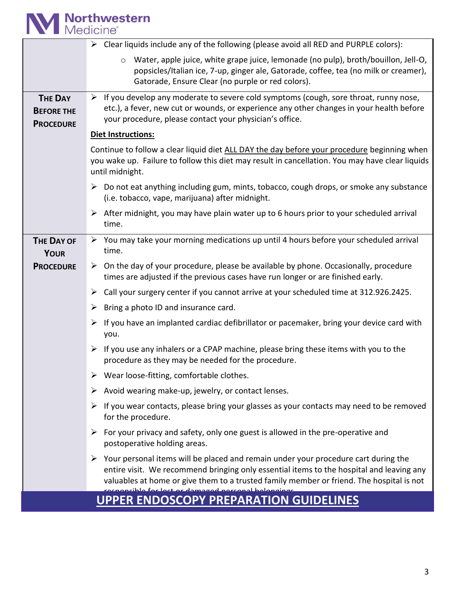

|                                                         | $\triangleright$ Clear liquids include any of the following (please avoid all RED and PURPLE colors):                                                                                                                                                                                                                                             |  |  |  |
|---------------------------------------------------------|---------------------------------------------------------------------------------------------------------------------------------------------------------------------------------------------------------------------------------------------------------------------------------------------------------------------------------------------------|--|--|--|
|                                                         | Water, apple juice, white grape juice, lemonade (no pulp), broth/bouillon, Jell-O,<br>$\circ$<br>popsicles/Italian ice, 7-up, ginger ale, Gatorade, coffee, tea (no milk or creamer),<br>Gatorade, Ensure Clear (no purple or red colors).                                                                                                        |  |  |  |
| <b>THE DAY</b><br><b>BEFORE THE</b><br><b>PROCEDURE</b> | $\triangleright$ If you develop any moderate to severe cold symptoms (cough, sore throat, runny nose,<br>etc.), a fever, new cut or wounds, or experience any other changes in your health before<br>your procedure, please contact your physician's office.                                                                                      |  |  |  |
|                                                         | <b>Diet Instructions:</b>                                                                                                                                                                                                                                                                                                                         |  |  |  |
|                                                         | Continue to follow a clear liquid diet ALL DAY the day before your procedure beginning when<br>you wake up. Failure to follow this diet may result in cancellation. You may have clear liquids<br>until midnight.                                                                                                                                 |  |  |  |
|                                                         | $\triangleright$ Do not eat anything including gum, mints, tobacco, cough drops, or smoke any substance<br>(i.e. tobacco, vape, marijuana) after midnight.                                                                                                                                                                                        |  |  |  |
|                                                         | $\triangleright$ After midnight, you may have plain water up to 6 hours prior to your scheduled arrival<br>time.                                                                                                                                                                                                                                  |  |  |  |
| <b>THE DAY OF</b><br><b>YOUR</b>                        | $\triangleright$ You may take your morning medications up until 4 hours before your scheduled arrival<br>time.                                                                                                                                                                                                                                    |  |  |  |
| <b>PROCEDURE</b>                                        | $\triangleright$ On the day of your procedure, please be available by phone. Occasionally, procedure<br>times are adjusted if the previous cases have run longer or are finished early.                                                                                                                                                           |  |  |  |
|                                                         | Call your surgery center if you cannot arrive at your scheduled time at 312.926.2425.<br>➤                                                                                                                                                                                                                                                        |  |  |  |
|                                                         | Bring a photo ID and insurance card.<br>➤                                                                                                                                                                                                                                                                                                         |  |  |  |
|                                                         | If you have an implanted cardiac defibrillator or pacemaker, bring your device card with<br>➤<br>you.                                                                                                                                                                                                                                             |  |  |  |
|                                                         | If you use any inhalers or a CPAP machine, please bring these items with you to the<br>➤<br>procedure as they may be needed for the procedure.                                                                                                                                                                                                    |  |  |  |
|                                                         | $\triangleright$ Wear loose-fitting, comfortable clothes.                                                                                                                                                                                                                                                                                         |  |  |  |
|                                                         | Avoid wearing make-up, jewelry, or contact lenses.<br>➤                                                                                                                                                                                                                                                                                           |  |  |  |
|                                                         | $\triangleright$ If you wear contacts, please bring your glasses as your contacts may need to be removed<br>for the procedure.                                                                                                                                                                                                                    |  |  |  |
|                                                         | $\triangleright$ For your privacy and safety, only one guest is allowed in the pre-operative and<br>postoperative holding areas.                                                                                                                                                                                                                  |  |  |  |
|                                                         | $\triangleright$ Your personal items will be placed and remain under your procedure cart during the<br>entire visit. We recommend bringing only essential items to the hospital and leaving any<br>valuables at home or give them to a trusted family member or friend. The hospital is not<br>acnoncible for lost or demegad nerconel belongings |  |  |  |
| <b>UPPER ENDOSCOPY PREPARATION GUIDELINES</b>           |                                                                                                                                                                                                                                                                                                                                                   |  |  |  |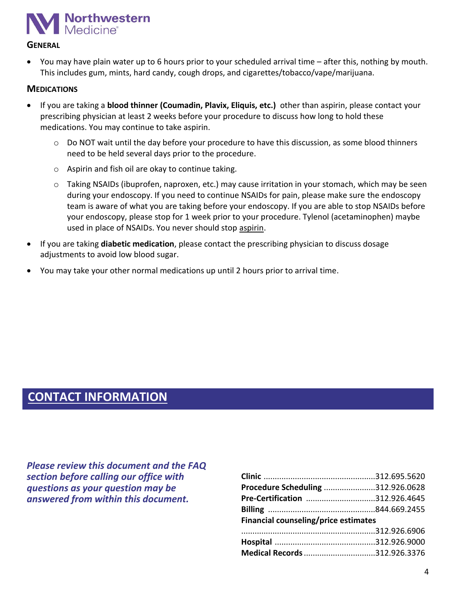

#### **GENERAL**

• You may have plain water up to 6 hours prior to your scheduled arrival time – after this, nothing by mouth. This includes gum, mints, hard candy, cough drops, and cigarettes/tobacco/vape/marijuana.

#### **MEDICATIONS**

- If you are taking a **blood thinner (Coumadin, Plavix, Eliquis, etc.)** other than aspirin, please contact your prescribing physician at least 2 weeks before your procedure to discuss how long to hold these medications. You may continue to take aspirin.
	- o Do NOT wait until the day before your procedure to have this discussion, as some blood thinners need to be held several days prior to the procedure.
	- o Aspirin and fish oil are okay to continue taking.
	- $\circ$  Taking NSAIDs (ibuprofen, naproxen, etc.) may cause irritation in your stomach, which may be seen during your endoscopy. If you need to continue NSAIDs for pain, please make sure the endoscopy team is aware of what you are taking before your endoscopy. If you are able to stop NSAIDs before your endoscopy, please stop for 1 week prior to your procedure. Tylenol (acetaminophen) maybe used in place of NSAIDs. You never should stop aspirin.
- If you are taking **diabetic medication**, please contact the prescribing physician to discuss dosage adjustments to avoid low blood sugar.
- You may take your other normal medications up until 2 hours prior to arrival time.

### **CONTACT INFORMATION**

*Please review this document and the FAQ section before calling our office with questions as your question may be answered from within this document.*

| Procedure Scheduling 312.926.0628    |  |  |  |
|--------------------------------------|--|--|--|
|                                      |  |  |  |
| Pre-Certification 312.926.4645       |  |  |  |
|                                      |  |  |  |
| Financial counseling/price estimates |  |  |  |
|                                      |  |  |  |
|                                      |  |  |  |
| Medical Records 312.926.3376         |  |  |  |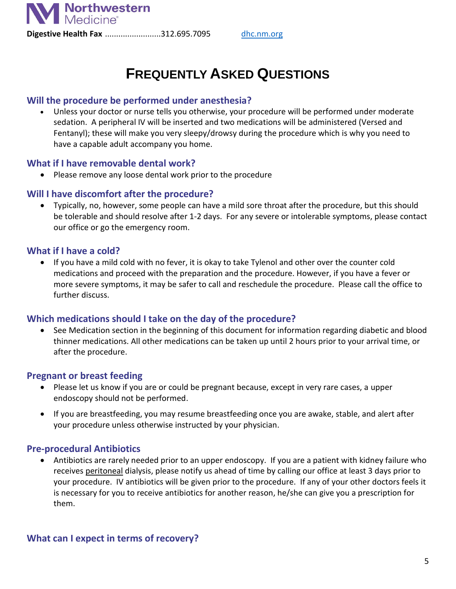

**Digestive Health Fax** .........................312.695.7095 [dhc.nm.org](http://dhc.nm.org/)

## **FREQUENTLY ASKED QUESTIONS**

#### **Will the procedure be performed under anesthesia?**

• Unless your doctor or nurse tells you otherwise, your procedure will be performed under moderate sedation. A peripheral IV will be inserted and two medications will be administered (Versed and Fentanyl); these will make you very sleepy/drowsy during the procedure which is why you need to have a capable adult accompany you home.

#### **What if I have removable dental work?**

• Please remove any loose dental work prior to the procedure

#### **Will I have discomfort after the procedure?**

• Typically, no, however, some people can have a mild sore throat after the procedure, but this should be tolerable and should resolve after 1-2 days. For any severe or intolerable symptoms, please contact our office or go the emergency room.

#### **What if I have a cold?**

• If you have a mild cold with no fever, it is okay to take Tylenol and other over the counter cold medications and proceed with the preparation and the procedure. However, if you have a fever or more severe symptoms, it may be safer to call and reschedule the procedure. Please call the office to further discuss.

#### **Which medications should I take on the day of the procedure?**

• See Medication section in the beginning of this document for information regarding diabetic and blood thinner medications. All other medications can be taken up until 2 hours prior to your arrival time, or after the procedure.

#### **Pregnant or breast feeding**

- Please let us know if you are or could be pregnant because, except in very rare cases, a upper endoscopy should not be performed.
- If you are breastfeeding, you may resume breastfeeding once you are awake, stable, and alert after your procedure unless otherwise instructed by your physician.

#### **Pre-procedural Antibiotics**

• Antibiotics are rarely needed prior to an upper endoscopy. If you are a patient with kidney failure who receives peritoneal dialysis, please notify us ahead of time by calling our office at least 3 days prior to your procedure. IV antibiotics will be given prior to the procedure. If any of your other doctors feels it is necessary for you to receive antibiotics for another reason, he/she can give you a prescription for them.

#### **What can I expect in terms of recovery?**